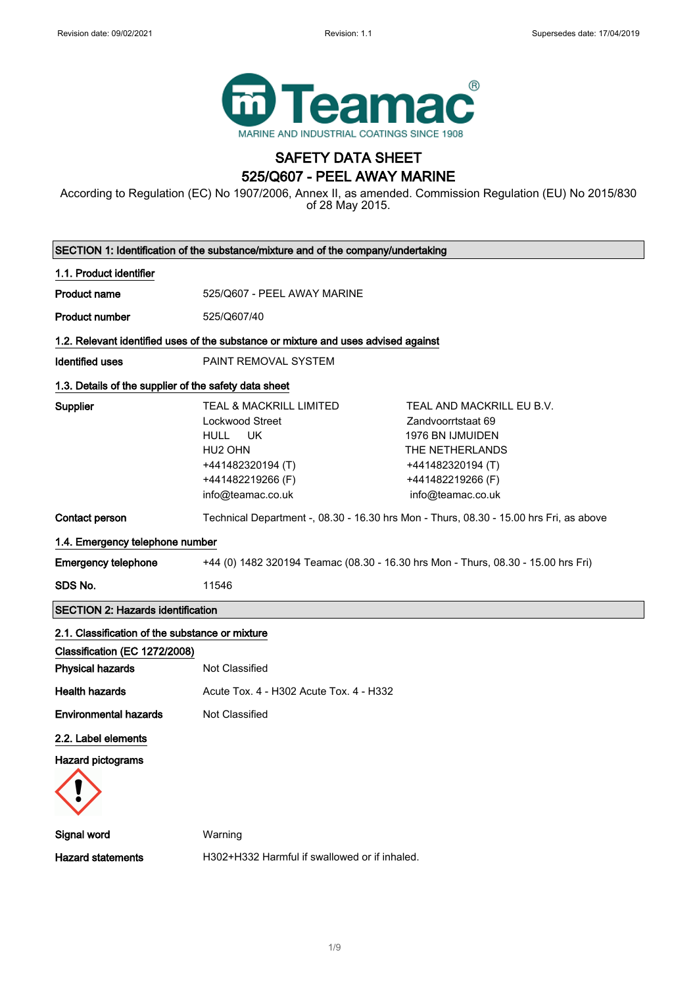

## SAFETY DATA SHEET 525/Q607 - PEEL AWAY MARINE

According to Regulation (EC) No 1907/2006, Annex II, as amended. Commission Regulation (EU) No 2015/830 of 28 May 2015.

|                                                       | SECTION 1: Identification of the substance/mixture and of the company/undertaking                                                                                       |                                                                                                                                                              |
|-------------------------------------------------------|-------------------------------------------------------------------------------------------------------------------------------------------------------------------------|--------------------------------------------------------------------------------------------------------------------------------------------------------------|
| 1.1. Product identifier                               |                                                                                                                                                                         |                                                                                                                                                              |
| <b>Product name</b>                                   | 525/Q607 - PEEL AWAY MARINE                                                                                                                                             |                                                                                                                                                              |
| <b>Product number</b>                                 | 525/Q607/40                                                                                                                                                             |                                                                                                                                                              |
|                                                       | 1.2. Relevant identified uses of the substance or mixture and uses advised against                                                                                      |                                                                                                                                                              |
| <b>Identified uses</b>                                | PAINT REMOVAL SYSTEM                                                                                                                                                    |                                                                                                                                                              |
| 1.3. Details of the supplier of the safety data sheet |                                                                                                                                                                         |                                                                                                                                                              |
| Supplier                                              | <b>TEAL &amp; MACKRILL LIMITED</b><br>Lockwood Street<br><b>HULL</b><br><b>UK</b><br>HU <sub>2</sub> OHN<br>+441482320194 (T)<br>+441482219266 (F)<br>info@teamac.co.uk | TEAL AND MACKRILL EU B.V.<br>Zandvoorrtstaat 69<br><b>1976 BN IJMUIDEN</b><br>THE NETHERLANDS<br>+441482320194 (T)<br>+441482219266 (F)<br>info@teamac.co.uk |
| Contact person                                        |                                                                                                                                                                         | Technical Department -, 08.30 - 16.30 hrs Mon - Thurs, 08.30 - 15.00 hrs Fri, as above                                                                       |
| 1.4. Emergency telephone number                       |                                                                                                                                                                         |                                                                                                                                                              |
| <b>Emergency telephone</b>                            | +44 (0) 1482 320194 Teamac (08.30 - 16.30 hrs Mon - Thurs, 08.30 - 15.00 hrs Fri)                                                                                       |                                                                                                                                                              |
| SDS No.                                               | 11546                                                                                                                                                                   |                                                                                                                                                              |
| <b>SECTION 2: Hazards identification</b>              |                                                                                                                                                                         |                                                                                                                                                              |
| 2.1. Classification of the substance or mixture       |                                                                                                                                                                         |                                                                                                                                                              |
| Classification (EC 1272/2008)                         |                                                                                                                                                                         |                                                                                                                                                              |
| <b>Physical hazards</b>                               | Not Classified                                                                                                                                                          |                                                                                                                                                              |
| <b>Health hazards</b>                                 | Acute Tox, 4 - H302 Acute Tox, 4 - H332                                                                                                                                 |                                                                                                                                                              |
| <b>Environmental hazards</b>                          | Not Classified                                                                                                                                                          |                                                                                                                                                              |
| 2.2. Label elements                                   |                                                                                                                                                                         |                                                                                                                                                              |
| <b>Hazard pictograms</b>                              |                                                                                                                                                                         |                                                                                                                                                              |
| <b>Signal word</b>                                    | Warning                                                                                                                                                                 |                                                                                                                                                              |
| <b>Hazard statements</b>                              | H302+H332 Harmful if swallowed or if inhaled.                                                                                                                           |                                                                                                                                                              |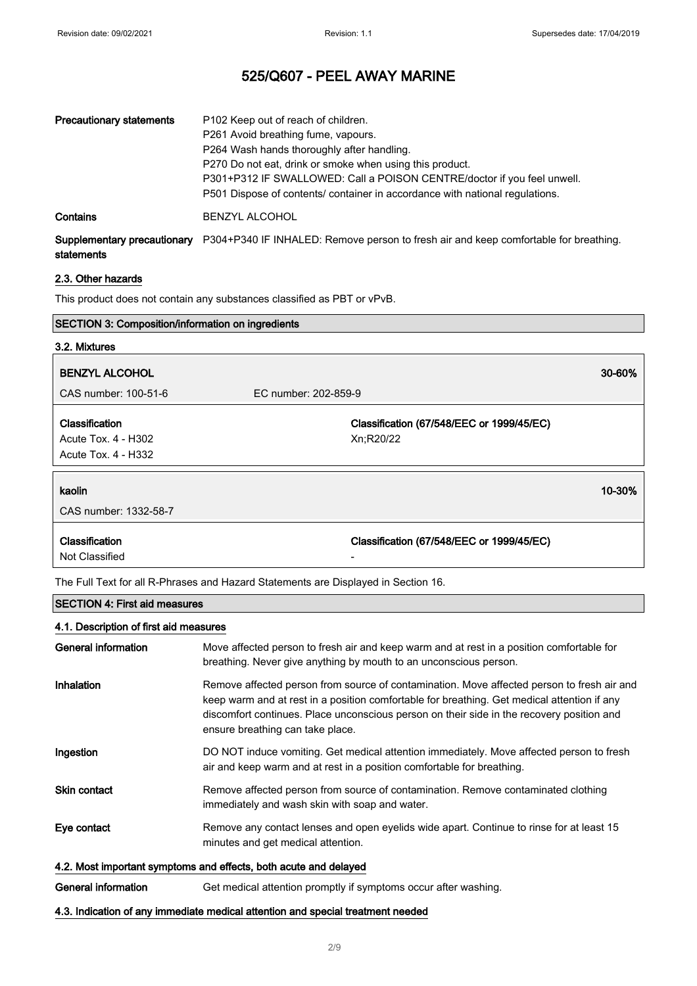| <b>Precautionary statements</b>           | P <sub>102</sub> Keep out of reach of children.<br>P261 Avoid breathing fume, vapours.<br>P264 Wash hands thoroughly after handling.<br>P270 Do not eat, drink or smoke when using this product.<br>P301+P312 IF SWALLOWED: Call a POISON CENTRE/doctor if you feel unwell.<br>P501 Dispose of contents/ container in accordance with national regulations. |  |
|-------------------------------------------|-------------------------------------------------------------------------------------------------------------------------------------------------------------------------------------------------------------------------------------------------------------------------------------------------------------------------------------------------------------|--|
| Contains                                  | <b>BENZYL ALCOHOL</b>                                                                                                                                                                                                                                                                                                                                       |  |
| Supplementary precautionary<br>statements | P304+P340 IF INHALED: Remove person to fresh air and keep comfortable for breathing.                                                                                                                                                                                                                                                                        |  |

#### 2.3. Other hazards

This product does not contain any substances classified as PBT or vPvB.

| <b>SECTION 3: Composition/information on ingredients</b>                   |                                                        |
|----------------------------------------------------------------------------|--------------------------------------------------------|
| 3.2. Mixtures                                                              |                                                        |
| <b>BENZYL ALCOHOL</b>                                                      | 30-60%                                                 |
| CAS number: 100-51-6                                                       | EC number: 202-859-9                                   |
| <b>Classification</b><br>Acute Tox. 4 - H302<br><b>Acute Tox. 4 - H332</b> | Classification (67/548/EEC or 1999/45/EC)<br>Xn;R20/22 |
| kaolin<br>CAS number: 1332-58-7                                            | 10-30%                                                 |
| Classification<br>Not Classified                                           | Classification (67/548/EEC or 1999/45/EC)              |

The Full Text for all R-Phrases and Hazard Statements are Displayed in Section 16.

## SECTION 4: First aid measures

## 4.1. Description of first aid measures

| General information                                              | Move affected person to fresh air and keep warm and at rest in a position comfortable for<br>breathing. Never give anything by mouth to an unconscious person.                                                                                                                                                             |  |
|------------------------------------------------------------------|----------------------------------------------------------------------------------------------------------------------------------------------------------------------------------------------------------------------------------------------------------------------------------------------------------------------------|--|
| Inhalation                                                       | Remove affected person from source of contamination. Move affected person to fresh air and<br>keep warm and at rest in a position comfortable for breathing. Get medical attention if any<br>discomfort continues. Place unconscious person on their side in the recovery position and<br>ensure breathing can take place. |  |
| Ingestion                                                        | DO NOT induce vomiting. Get medical attention immediately. Move affected person to fresh<br>air and keep warm and at rest in a position comfortable for breathing.                                                                                                                                                         |  |
| <b>Skin contact</b>                                              | Remove affected person from source of contamination. Remove contaminated clothing<br>immediately and wash skin with soap and water.                                                                                                                                                                                        |  |
| Eye contact                                                      | Remove any contact lenses and open eyelids wide apart. Continue to rinse for at least 15<br>minutes and get medical attention.                                                                                                                                                                                             |  |
| 4.2. Most important symptoms and effects, both acute and delayed |                                                                                                                                                                                                                                                                                                                            |  |
| General information                                              | Get medical attention promptly if symptoms occur after washing.                                                                                                                                                                                                                                                            |  |

### 4.3. Indication of any immediate medical attention and special treatment needed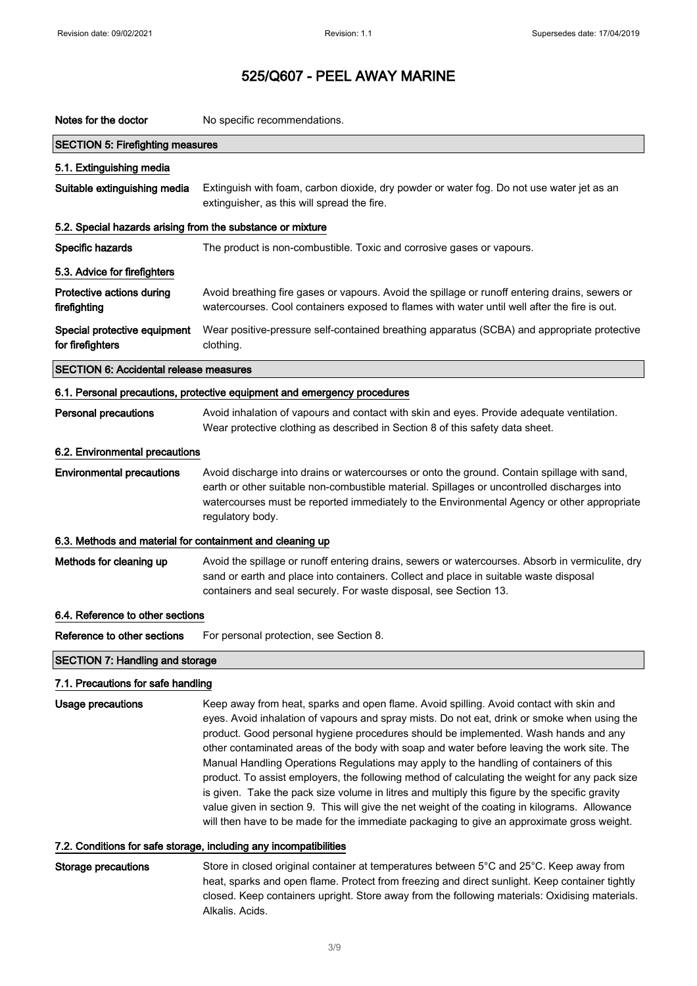| Notes for the doctor                                              | No specific recommendations.                                                                                                                                                                                                                                                                                                                                                                                                                                                                                                                                                                                                                                                                                                                                                                                                                                               |
|-------------------------------------------------------------------|----------------------------------------------------------------------------------------------------------------------------------------------------------------------------------------------------------------------------------------------------------------------------------------------------------------------------------------------------------------------------------------------------------------------------------------------------------------------------------------------------------------------------------------------------------------------------------------------------------------------------------------------------------------------------------------------------------------------------------------------------------------------------------------------------------------------------------------------------------------------------|
| <b>SECTION 5: Firefighting measures</b>                           |                                                                                                                                                                                                                                                                                                                                                                                                                                                                                                                                                                                                                                                                                                                                                                                                                                                                            |
| 5.1. Extinguishing media                                          |                                                                                                                                                                                                                                                                                                                                                                                                                                                                                                                                                                                                                                                                                                                                                                                                                                                                            |
| Suitable extinguishing media                                      | Extinguish with foam, carbon dioxide, dry powder or water fog. Do not use water jet as an<br>extinguisher, as this will spread the fire.                                                                                                                                                                                                                                                                                                                                                                                                                                                                                                                                                                                                                                                                                                                                   |
| 5.2. Special hazards arising from the substance or mixture        |                                                                                                                                                                                                                                                                                                                                                                                                                                                                                                                                                                                                                                                                                                                                                                                                                                                                            |
| Specific hazards                                                  | The product is non-combustible. Toxic and corrosive gases or vapours.                                                                                                                                                                                                                                                                                                                                                                                                                                                                                                                                                                                                                                                                                                                                                                                                      |
| 5.3. Advice for firefighters                                      |                                                                                                                                                                                                                                                                                                                                                                                                                                                                                                                                                                                                                                                                                                                                                                                                                                                                            |
| Protective actions during<br>firefighting                         | Avoid breathing fire gases or vapours. Avoid the spillage or runoff entering drains, sewers or<br>watercourses. Cool containers exposed to flames with water until well after the fire is out.                                                                                                                                                                                                                                                                                                                                                                                                                                                                                                                                                                                                                                                                             |
| Special protective equipment<br>for firefighters                  | Wear positive-pressure self-contained breathing apparatus (SCBA) and appropriate protective<br>clothing.                                                                                                                                                                                                                                                                                                                                                                                                                                                                                                                                                                                                                                                                                                                                                                   |
| <b>SECTION 6: Accidental release measures</b>                     |                                                                                                                                                                                                                                                                                                                                                                                                                                                                                                                                                                                                                                                                                                                                                                                                                                                                            |
|                                                                   | 6.1. Personal precautions, protective equipment and emergency procedures                                                                                                                                                                                                                                                                                                                                                                                                                                                                                                                                                                                                                                                                                                                                                                                                   |
| <b>Personal precautions</b>                                       | Avoid inhalation of vapours and contact with skin and eyes. Provide adequate ventilation.<br>Wear protective clothing as described in Section 8 of this safety data sheet.                                                                                                                                                                                                                                                                                                                                                                                                                                                                                                                                                                                                                                                                                                 |
| 6.2. Environmental precautions                                    |                                                                                                                                                                                                                                                                                                                                                                                                                                                                                                                                                                                                                                                                                                                                                                                                                                                                            |
| <b>Environmental precautions</b>                                  | Avoid discharge into drains or watercourses or onto the ground. Contain spillage with sand,<br>earth or other suitable non-combustible material. Spillages or uncontrolled discharges into<br>watercourses must be reported immediately to the Environmental Agency or other appropriate<br>regulatory body.                                                                                                                                                                                                                                                                                                                                                                                                                                                                                                                                                               |
| 6.3. Methods and material for containment and cleaning up         |                                                                                                                                                                                                                                                                                                                                                                                                                                                                                                                                                                                                                                                                                                                                                                                                                                                                            |
| Methods for cleaning up                                           | Avoid the spillage or runoff entering drains, sewers or watercourses. Absorb in vermiculite, dry<br>sand or earth and place into containers. Collect and place in suitable waste disposal<br>containers and seal securely. For waste disposal, see Section 13.                                                                                                                                                                                                                                                                                                                                                                                                                                                                                                                                                                                                             |
| 6.4. Reference to other sections                                  |                                                                                                                                                                                                                                                                                                                                                                                                                                                                                                                                                                                                                                                                                                                                                                                                                                                                            |
| Reference to other sections                                       | For personal protection, see Section 8.                                                                                                                                                                                                                                                                                                                                                                                                                                                                                                                                                                                                                                                                                                                                                                                                                                    |
| <b>SECTION 7: Handling and storage</b>                            |                                                                                                                                                                                                                                                                                                                                                                                                                                                                                                                                                                                                                                                                                                                                                                                                                                                                            |
| 7.1. Precautions for safe handling                                |                                                                                                                                                                                                                                                                                                                                                                                                                                                                                                                                                                                                                                                                                                                                                                                                                                                                            |
| <b>Usage precautions</b>                                          | Keep away from heat, sparks and open flame. Avoid spilling. Avoid contact with skin and<br>eyes. Avoid inhalation of vapours and spray mists. Do not eat, drink or smoke when using the<br>product. Good personal hygiene procedures should be implemented. Wash hands and any<br>other contaminated areas of the body with soap and water before leaving the work site. The<br>Manual Handling Operations Regulations may apply to the handling of containers of this<br>product. To assist employers, the following method of calculating the weight for any pack size<br>is given. Take the pack size volume in litres and multiply this figure by the specific gravity<br>value given in section 9. This will give the net weight of the coating in kilograms. Allowance<br>will then have to be made for the immediate packaging to give an approximate gross weight. |
| 7.2. Conditions for safe storage, including any incompatibilities |                                                                                                                                                                                                                                                                                                                                                                                                                                                                                                                                                                                                                                                                                                                                                                                                                                                                            |
| <b>Storage precautions</b>                                        | Store in closed original container at temperatures between 5°C and 25°C. Keep away from                                                                                                                                                                                                                                                                                                                                                                                                                                                                                                                                                                                                                                                                                                                                                                                    |

heat, sparks and open flame. Protect from freezing and direct sunlight. Keep container tightly closed. Keep containers upright. Store away from the following materials: Oxidising materials. Alkalis. Acids.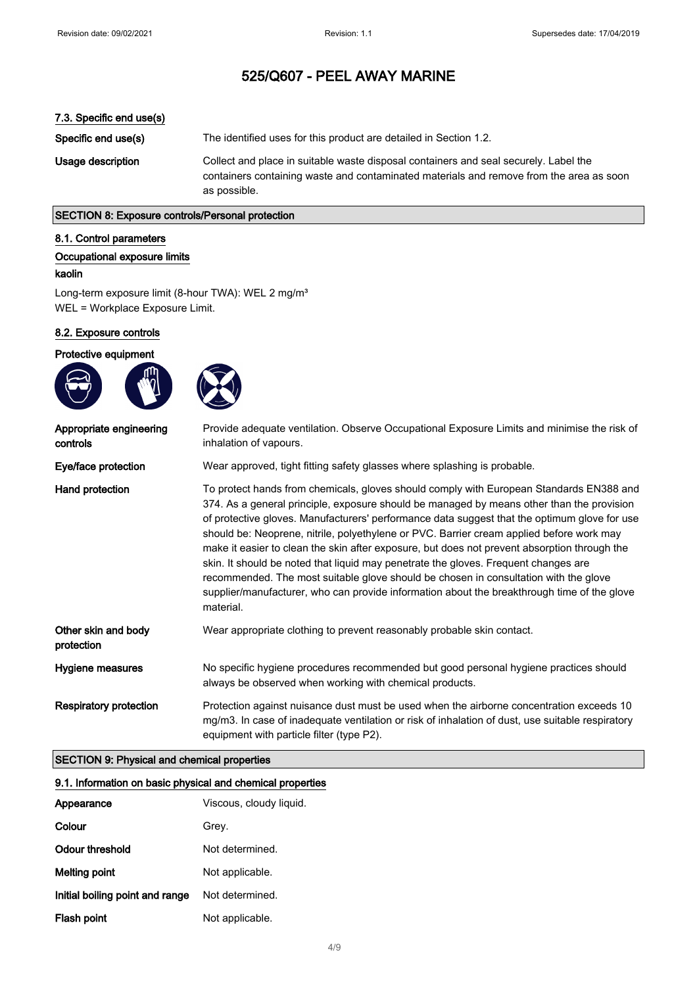### 7.3. Specific end use(s)

Specific end use(s) The identified uses for this product are detailed in Section 1.2. Usage description Collect and place in suitable waste disposal containers and seal securely. Label the containers containing waste and contaminated materials and remove from the area as soon as possible.

## SECTION 8: Exposure controls/Personal protection

#### 8.1. Control parameters

#### Occupational exposure limits

#### kaolin

Long-term exposure limit (8-hour TWA): WEL 2 mg/m<sup>3</sup> WEL = Workplace Exposure Limit.

#### 8.2. Exposure controls

## Protective equipment





| Appropriate engineering<br>controls | Provide adequate ventilation. Observe Occupational Exposure Limits and minimise the risk of<br>inhalation of vapours.                                                                                                                                                                                                                                                                                                                                                                                                                                                                                                                                                                                                                                                       |
|-------------------------------------|-----------------------------------------------------------------------------------------------------------------------------------------------------------------------------------------------------------------------------------------------------------------------------------------------------------------------------------------------------------------------------------------------------------------------------------------------------------------------------------------------------------------------------------------------------------------------------------------------------------------------------------------------------------------------------------------------------------------------------------------------------------------------------|
| Eye/face protection                 | Wear approved, tight fitting safety glasses where splashing is probable.                                                                                                                                                                                                                                                                                                                                                                                                                                                                                                                                                                                                                                                                                                    |
| Hand protection                     | To protect hands from chemicals, gloves should comply with European Standards EN388 and<br>374. As a general principle, exposure should be managed by means other than the provision<br>of protective gloves. Manufacturers' performance data suggest that the optimum glove for use<br>should be: Neoprene, nitrile, polyethylene or PVC. Barrier cream applied before work may<br>make it easier to clean the skin after exposure, but does not prevent absorption through the<br>skin. It should be noted that liquid may penetrate the gloves. Frequent changes are<br>recommended. The most suitable glove should be chosen in consultation with the glove<br>supplier/manufacturer, who can provide information about the breakthrough time of the glove<br>material. |
| Other skin and body<br>protection   | Wear appropriate clothing to prevent reasonably probable skin contact.                                                                                                                                                                                                                                                                                                                                                                                                                                                                                                                                                                                                                                                                                                      |
| Hygiene measures                    | No specific hygiene procedures recommended but good personal hygiene practices should<br>always be observed when working with chemical products.                                                                                                                                                                                                                                                                                                                                                                                                                                                                                                                                                                                                                            |
| <b>Respiratory protection</b>       | Protection against nuisance dust must be used when the airborne concentration exceeds 10<br>mg/m3. In case of inadequate ventilation or risk of inhalation of dust, use suitable respiratory<br>equipment with particle filter (type P2).                                                                                                                                                                                                                                                                                                                                                                                                                                                                                                                                   |

#### SECTION 9: Physical and chemical properties

| 9.1. Information on basic physical and chemical properties |                         |
|------------------------------------------------------------|-------------------------|
| Appearance                                                 | Viscous, cloudy liquid. |
| Colour                                                     | Grey.                   |
| Odour threshold                                            | Not determined.         |
| Melting point                                              | Not applicable.         |
| Initial boiling point and range                            | Not determined.         |
| Flash point                                                | Not applicable.         |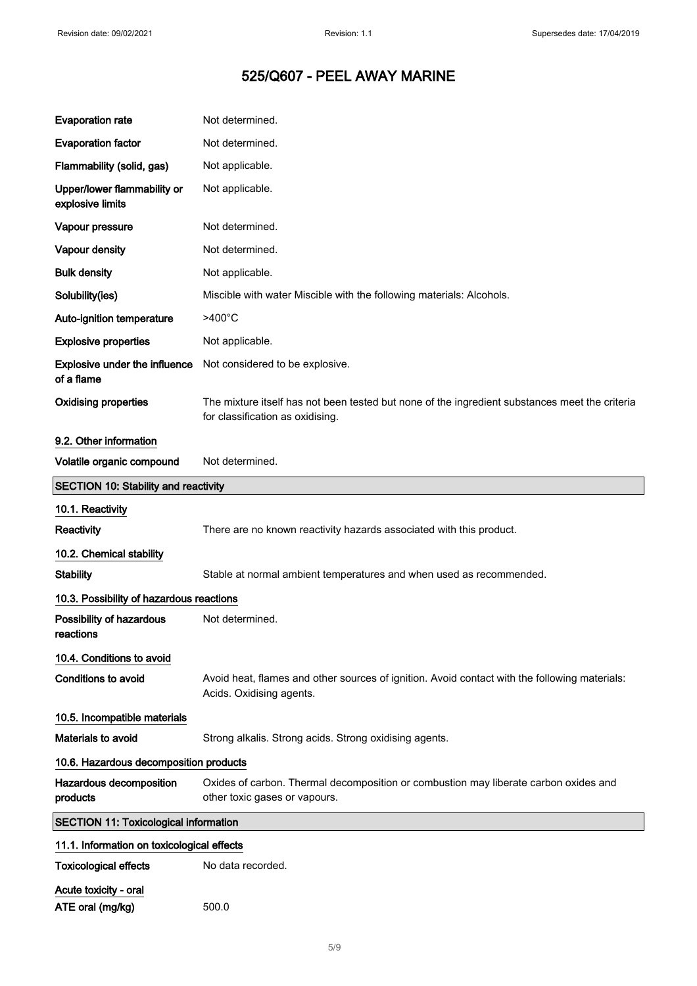| <b>Evaporation rate</b>                            | Not determined.                                                                                                                    |  |
|----------------------------------------------------|------------------------------------------------------------------------------------------------------------------------------------|--|
| <b>Evaporation factor</b>                          | Not determined.                                                                                                                    |  |
| Flammability (solid, gas)                          | Not applicable.                                                                                                                    |  |
| Upper/lower flammability or<br>explosive limits    | Not applicable.                                                                                                                    |  |
| Vapour pressure                                    | Not determined.                                                                                                                    |  |
| Vapour density                                     | Not determined.                                                                                                                    |  |
| <b>Bulk density</b>                                | Not applicable.                                                                                                                    |  |
| Solubility(ies)                                    | Miscible with water Miscible with the following materials: Alcohols.                                                               |  |
| Auto-ignition temperature                          | $>400^{\circ}$ C                                                                                                                   |  |
| <b>Explosive properties</b>                        | Not applicable.                                                                                                                    |  |
| <b>Explosive under the influence</b><br>of a flame | Not considered to be explosive.                                                                                                    |  |
| <b>Oxidising properties</b>                        | The mixture itself has not been tested but none of the ingredient substances meet the criteria<br>for classification as oxidising. |  |
| 9.2. Other information                             |                                                                                                                                    |  |
| Volatile organic compound                          | Not determined.                                                                                                                    |  |
| <b>SECTION 10: Stability and reactivity</b>        |                                                                                                                                    |  |
| 10.1. Reactivity                                   |                                                                                                                                    |  |
| Reactivity                                         | There are no known reactivity hazards associated with this product.                                                                |  |
| 10.2. Chemical stability                           |                                                                                                                                    |  |
| <b>Stability</b>                                   | Stable at normal ambient temperatures and when used as recommended.                                                                |  |
| 10.3. Possibility of hazardous reactions           |                                                                                                                                    |  |
| Possibility of hazardous<br>reactions              | Not determined.                                                                                                                    |  |
| 10.4. Conditions to avoid                          |                                                                                                                                    |  |
| Conditions to avoid                                | Avoid heat, flames and other sources of ignition. Avoid contact with the following materials:<br>Acids. Oxidising agents.          |  |
| 10.5. Incompatible materials                       |                                                                                                                                    |  |
| Materials to avoid                                 | Strong alkalis. Strong acids. Strong oxidising agents.                                                                             |  |
| 10.6. Hazardous decomposition products             |                                                                                                                                    |  |
| Hazardous decomposition<br>products                | Oxides of carbon. Thermal decomposition or combustion may liberate carbon oxides and<br>other toxic gases or vapours.              |  |
| <b>SECTION 11: Toxicological information</b>       |                                                                                                                                    |  |
| 11.1. Information on toxicological effects         |                                                                                                                                    |  |
| <b>Toxicological effects</b>                       | No data recorded.                                                                                                                  |  |
| Acute toxicity - oral                              |                                                                                                                                    |  |
| ATE oral (mg/kg)                                   | 500.0                                                                                                                              |  |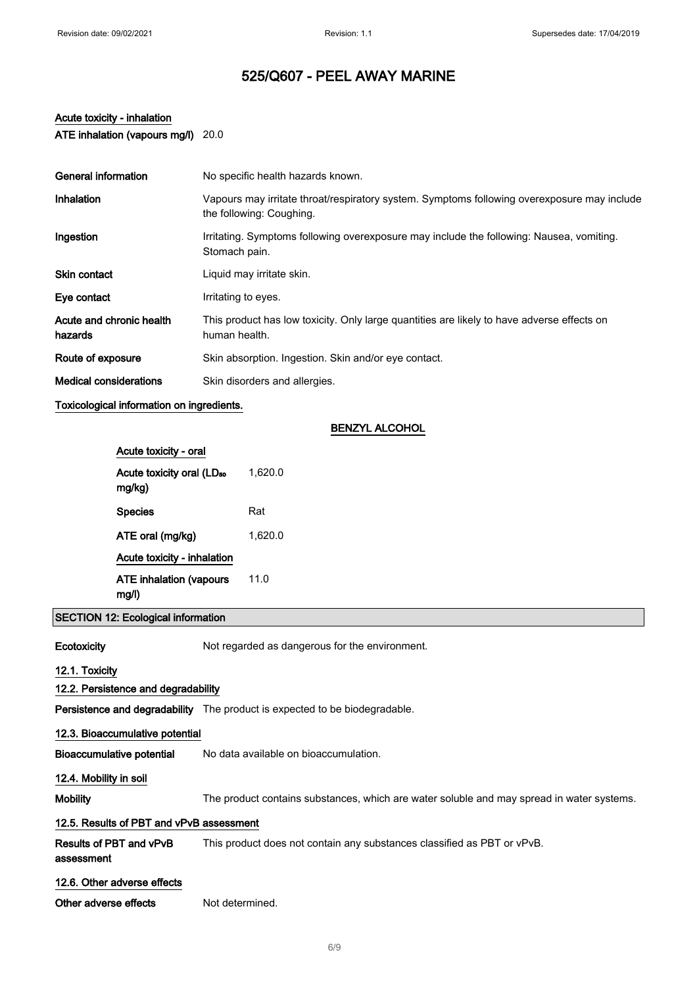# Acute toxicity - inhalation

ATE inhalation (vapours mg/l) 20.0

| General information                 | No specific health hazards known.                                                                                       |
|-------------------------------------|-------------------------------------------------------------------------------------------------------------------------|
| Inhalation                          | Vapours may irritate throat/respiratory system. Symptoms following overexposure may include<br>the following: Coughing. |
| Ingestion                           | Irritating. Symptoms following overexposure may include the following: Nausea, vomiting.<br>Stomach pain.               |
| Skin contact                        | Liquid may irritate skin.                                                                                               |
| Eye contact                         | Irritating to eyes.                                                                                                     |
| Acute and chronic health<br>hazards | This product has low toxicity. Only large quantities are likely to have adverse effects on<br>human health.             |
| Route of exposure                   | Skin absorption. Ingestion. Skin and/or eye contact.                                                                    |
| <b>Medical considerations</b>       | Skin disorders and allergies.                                                                                           |
| .                                   |                                                                                                                         |

### Toxicological information on ingredients.

#### BENZYL ALCOHOL

| Acute toxicity - oral                           |         |
|-------------------------------------------------|---------|
| Acute toxicity oral (LD <sub>50</sub><br>mg/kg) | 1,620.0 |
| <b>Species</b>                                  | Rat     |
| ATE oral (mg/kg)                                | 1,620.0 |
| <b>Acute toxicity - inhalation</b>              |         |
| <b>ATE inhalation (vapours</b><br>mq/l          | 11.0    |

SECTION 12: Ecological information

Ecotoxicity Not regarded as dangerous for the environment.

12.1. Toxicity

## 12.2. Persistence and degradability

Persistence and degradability The product is expected to be biodegradable.

#### 12.3. Bioaccumulative potential

Bioaccumulative potential No data available on bioaccumulation.

#### 12.4. Mobility in soil

assessment

Mobility The product contains substances, which are water soluble and may spread in water systems.

#### 12.5. Results of PBT and vPvB assessment

Results of PBT and vPvB This product does not contain any substances classified as PBT or vPvB.

## 12.6. Other adverse effects

Other adverse effects Not determined.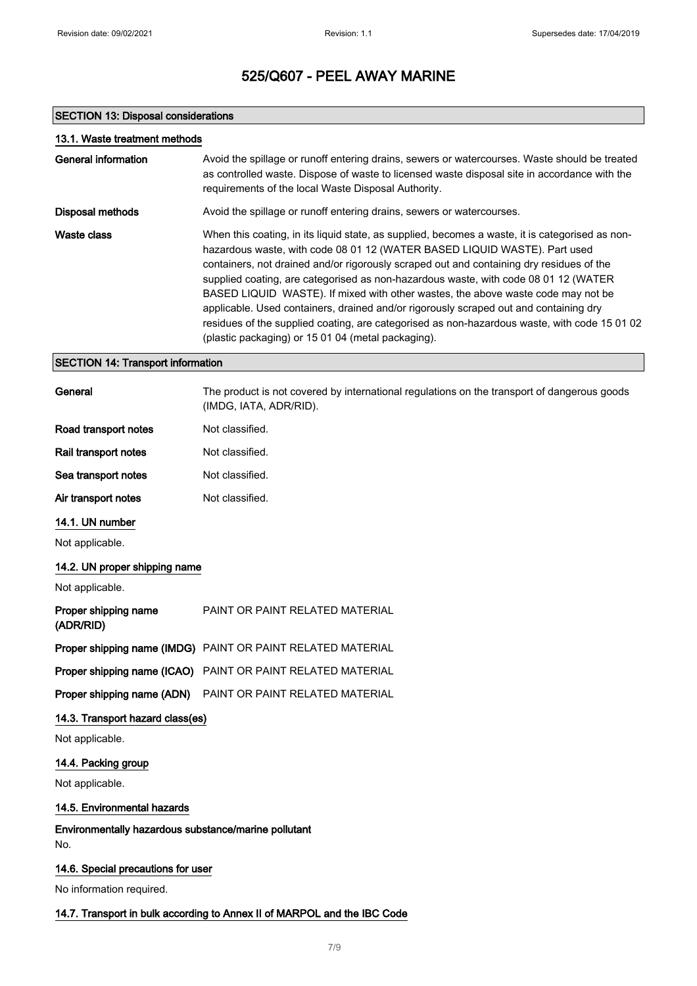### SECTION 13: Disposal considerations

| 13.1. Waste treatment methods |                                                                                                                                                                                                                                                                                                                                                                                                                                                                                                                                                                                                                                                                                                    |
|-------------------------------|----------------------------------------------------------------------------------------------------------------------------------------------------------------------------------------------------------------------------------------------------------------------------------------------------------------------------------------------------------------------------------------------------------------------------------------------------------------------------------------------------------------------------------------------------------------------------------------------------------------------------------------------------------------------------------------------------|
| General information           | Avoid the spillage or runoff entering drains, sewers or watercourses. Waste should be treated<br>as controlled waste. Dispose of waste to licensed waste disposal site in accordance with the<br>requirements of the local Waste Disposal Authority.                                                                                                                                                                                                                                                                                                                                                                                                                                               |
| Disposal methods              | Avoid the spillage or runoff entering drains, sewers or watercourses.                                                                                                                                                                                                                                                                                                                                                                                                                                                                                                                                                                                                                              |
| Waste class                   | When this coating, in its liquid state, as supplied, becomes a waste, it is categorised as non-<br>hazardous waste, with code 08 01 12 (WATER BASED LIQUID WASTE). Part used<br>containers, not drained and/or rigorously scraped out and containing dry residues of the<br>supplied coating, are categorised as non-hazardous waste, with code 08 01 12 (WATER<br>BASED LIQUID WASTE). If mixed with other wastes, the above waste code may not be<br>applicable. Used containers, drained and/or rigorously scraped out and containing dry<br>residues of the supplied coating, are categorised as non-hazardous waste, with code 15 01 02<br>(plastic packaging) or 15 01 04 (metal packaging). |

#### SECTION 14: Transport information

| General                           | The product is not covered by international regulations on the transport of dangerous goods<br>(IMDG, IATA, ADR/RID). |
|-----------------------------------|-----------------------------------------------------------------------------------------------------------------------|
| Road transport notes              | Not classified.                                                                                                       |
| Rail transport notes              | Not classified.                                                                                                       |
| Sea transport notes               | Not classified.                                                                                                       |
| Air transport notes               | Not classified.                                                                                                       |
| 14.1. UN number                   |                                                                                                                       |
| Not applicable.                   |                                                                                                                       |
| 14.2. UN proper shipping name     |                                                                                                                       |
| Not applicable.                   |                                                                                                                       |
| Proper shipping name<br>(ADR/RID) | <b>PAINT OR PAINT RELATED MATERIAL</b>                                                                                |

|  | Proper shipping name (IMDG) PAINT OR PAINT RELATED MATERIAL |
|--|-------------------------------------------------------------|
|--|-------------------------------------------------------------|

Proper shipping name (ICAO) PAINT OR PAINT RELATED MATERIAL

Proper shipping name (ADN) PAINT OR PAINT RELATED MATERIAL

## 14.3. Transport hazard class(es)

Not applicable.

#### 14.4. Packing group

Not applicable.

#### 14.5. Environmental hazards

Environmentally hazardous substance/marine pollutant No.

### 14.6. Special precautions for user

No information required.

#### 14.7. Transport in bulk according to Annex II of MARPOL and the IBC Code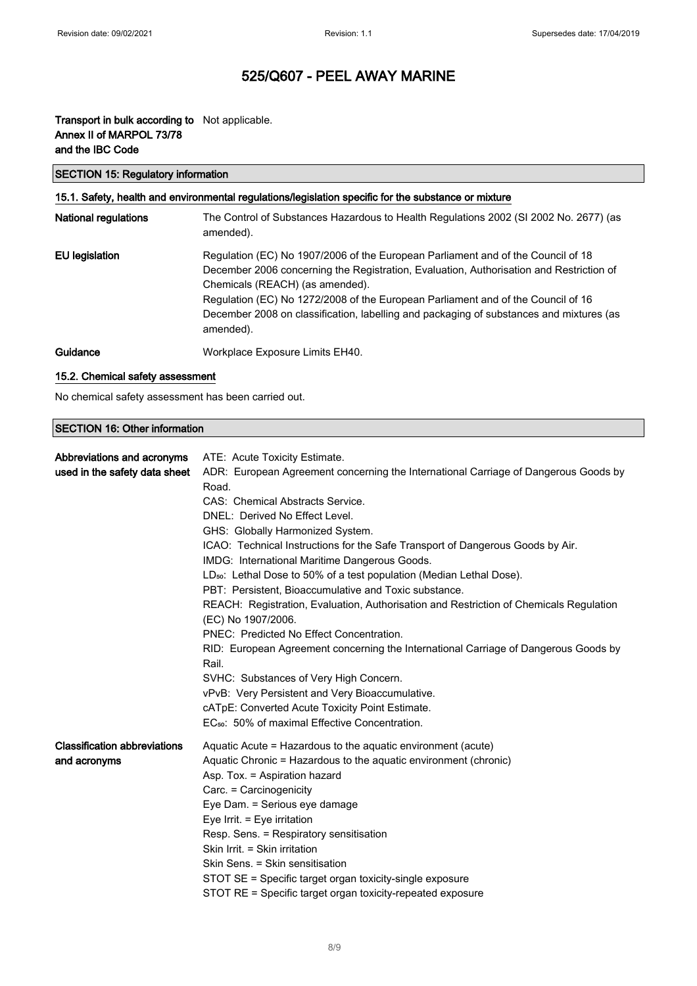## Transport in bulk according to Not applicable. Annex II of MARPOL 73/78 and the IBC Code

## SECTION 15: Regulatory information

## 15.1. Safety, health and environmental regulations/legislation specific for the substance or mixture National regulations The Control of Substances Hazardous to Health Regulations 2002 (SI 2002 No. 2677) (as amended).

| EU legislation | Regulation (EC) No 1907/2006 of the European Parliament and of the Council of 18        |
|----------------|-----------------------------------------------------------------------------------------|
|                | December 2006 concerning the Registration, Evaluation, Authorisation and Restriction of |
|                | Chemicals (REACH) (as amended).                                                         |
|                | Regulation (EC) No 1272/2008 of the European Parliament and of the Council of 16        |
|                | December 2008 on classification, labelling and packaging of substances and mixtures (as |
|                | amended).                                                                               |
|                | $\mathbf{u} \cdot \mathbf{v} = \mathbf{v} \cdot \mathbf{v}$                             |

### Guidance Workplace Exposure Limits EH40.

#### 15.2. Chemical safety assessment

No chemical safety assessment has been carried out.

### SECTION 16: Other information

| Abbreviations and acronyms<br>used in the safety data sheet | ATE: Acute Toxicity Estimate.<br>ADR: European Agreement concerning the International Carriage of Dangerous Goods by<br>Road.<br>CAS: Chemical Abstracts Service.<br>DNEL: Derived No Effect Level.<br>GHS: Globally Harmonized System.<br>ICAO: Technical Instructions for the Safe Transport of Dangerous Goods by Air.<br>IMDG: International Maritime Dangerous Goods.<br>LD <sub>50</sub> : Lethal Dose to 50% of a test population (Median Lethal Dose).<br>PBT: Persistent, Bioaccumulative and Toxic substance.<br>REACH: Registration, Evaluation, Authorisation and Restriction of Chemicals Regulation<br>(EC) No 1907/2006.<br>PNEC: Predicted No Effect Concentration.<br>RID: European Agreement concerning the International Carriage of Dangerous Goods by<br>Rail.<br>SVHC: Substances of Very High Concern.<br>vPvB: Very Persistent and Very Bioaccumulative.<br>cATpE: Converted Acute Toxicity Point Estimate.<br>EC <sub>50</sub> : 50% of maximal Effective Concentration. |
|-------------------------------------------------------------|---------------------------------------------------------------------------------------------------------------------------------------------------------------------------------------------------------------------------------------------------------------------------------------------------------------------------------------------------------------------------------------------------------------------------------------------------------------------------------------------------------------------------------------------------------------------------------------------------------------------------------------------------------------------------------------------------------------------------------------------------------------------------------------------------------------------------------------------------------------------------------------------------------------------------------------------------------------------------------------------------|
| <b>Classification abbreviations</b><br>and acronyms         | Aquatic Acute = Hazardous to the aquatic environment (acute)<br>Aquatic Chronic = Hazardous to the aquatic environment (chronic)<br>Asp. Tox. = Aspiration hazard<br>Carc. = Carcinogenicity<br>Eye Dam. = Serious eye damage<br>Eye Irrit. $=$ Eye irritation<br>Resp. Sens. = Respiratory sensitisation<br>Skin Irrit. = Skin irritation<br>Skin Sens. = Skin sensitisation<br>STOT SE = Specific target organ toxicity-single exposure<br>STOT RE = Specific target organ toxicity-repeated exposure                                                                                                                                                                                                                                                                                                                                                                                                                                                                                           |